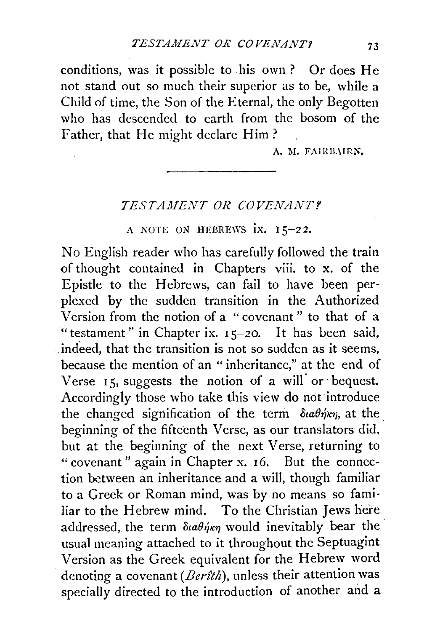conditions, was it possible to his own ? Or does He not stand out so much their superior as to be, while a Child of time, the Son of the Eternal, the only Begotten who has descended to earth from the bosom of the Father, that He might declare Him?

A. M. FAIRBAIRN.

## *TESTA.MENT OR COVENA1VT.'!*

A NOTE ON HEBREWS  $ix. 15-22$ .

No English reader who has carefully followed the train of thought contained in Chapters viii. to x. of the Epistle to the Hebrews, can fail to have been perplexed by the sudden transition in the Authorized Version from the notion of a " covenant " to that of a "testament " in Chapter ix. I *5-20.* It has been said, indeed, that the transition is not so sudden as it seems, because the mention of an " inheritance," at the end of Verse  $15$ , suggests the notion of a will or bequest. Accordingly those who take this view do not introduce the changed signification of the term  $\delta u \theta \dot{\eta} \kappa \eta$ , at the beginning of the fifteenth Verse, as our translators did, but at the beginning of the next Verse, returning to "covenant" again in Chapter x. I6. But the connection between an inheritance and a will, though familiar to a Greek or Roman mind, was by no means so familiar to the Hebrew mind. To the Christian Jews here addressed, the term  $\delta u \theta \dot{\eta} \kappa \eta$  would inevitably bear the usual meaning attached to it throughout the Septuagint Version as the Greek equivalent for the Hebrew word denoting a covenant *(Berîth*), unless their attention was specially directed to the introduction of another and a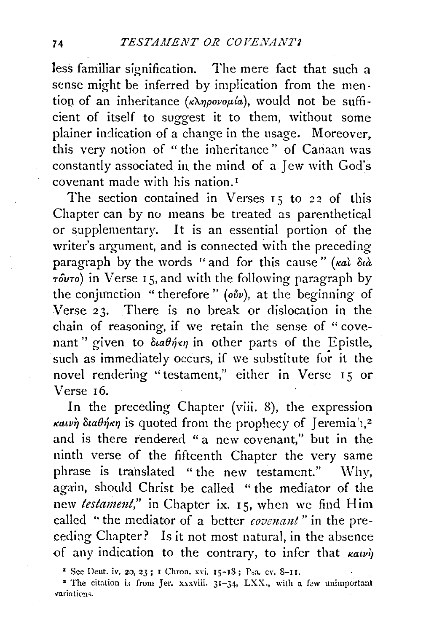less familiar signification. The mere fact that such a sense might be inferred by implication from the mention of an inheritance  $(\kappa\lambda\eta\rho\sigma\nu\rho\mu/a)$ , would not be sufficient of itself to suggest it to them, without some plainer indication of a change in the usage. Moreover, this very notion of "the inheritance" of Canaan was constantly associated in the mind of a Jew with God's covenant made with his nation. <sup>1</sup>

The section contained in Verses 15 to 22 of this Chapter can by no means be treated as parenthetical or supplementary. It is an essential portion of the writer's argument, and is connected with the preceding paragraph by the words "and for this cause" ( $\kappa a\lambda \delta u\lambda$ *TouTo)* in Verse I 5, and with the following paragraph by the conjunction "therefore" *(ovv)*, at the beginning of Verse 23. There is no break or dislocation in the chain of reasoning, if we retain the sense of " covenant" given to  $\delta u \partial \dot{\eta} \epsilon \eta$  in other parts of the Epistle, such as immediately occurs, if we substitute for it the novel rendering "testament," either in Verse 15 or Verse r6.

In the preceding Chapter (viii. 8), the expression  $\kappa a\nu\nu\nu$   $\delta\iota a\theta\nu\rho\kappa\nu$  is quoted from the prophecy of J eremia<sup>'</sup>),<sup>2</sup> and is there rendered " a new covenant," but in the ninth verse of the fifteenth Chapter the very same phrase is translated "the new testament." Why, again, should Christ be called " the mediator of the new *testament*," in Chapter ix. 15, when we find Him called " the mediator of a better *covenant*" in the preceding Chapter? Is it not most natural, in the absence of any indication to the contrary, to infer that  $\kappa_{\alpha\iota\nu\eta}$ 

<sup>&</sup>lt;sup>1</sup> See Deut. *iv.* 20, 23; I Chron. *xvi.* 15-18; Psa. cv. 8-11.

<sup>&</sup>lt;sup>2</sup> The citation is from Jer. xxxviii.  $31-34$ , LXX., with a few unimportant  $variations.$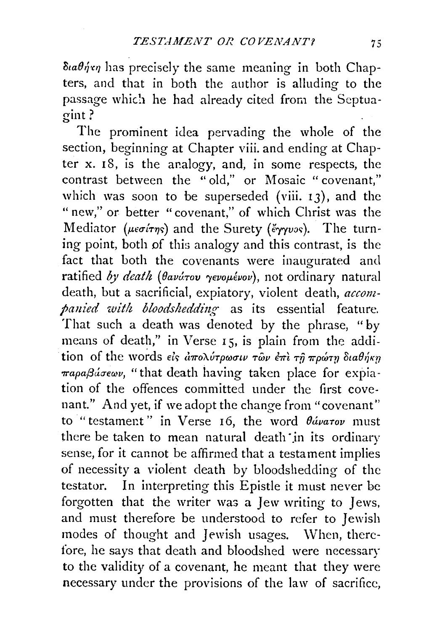$\delta u \theta \dot{\eta} \eta$  has precisely the same meaning in both Chapters, and that in both the author is alluding to the passage which he had already cited from the Septuagint?

The prominent idea pervading the whole of the section, beginning at Chapter viii. and ending at Chapter  $x$ . 18, is the analogy, and, in some respects, the contrast between the "old," or Mosaic "covenant," which was soon to be superseded (viii.  $13$ ), and the " new," or better "covenant," of which Christ was the Mediator *(μεσίτης)* and the Surety *(ἔγγυος)*. The turning point, both of this analogy and this contrast, is the fact that both the covenants were inaugurated and ratified by death (θανώτου γενομένου), not ordinary natural death, but a sacrificial, expiatory, violent death, *accom*panied with bloodshedding as its essential feature. That such a death was denoted by the phrase, "by means of death," in Verse 15, is plain from the addition of the words είς απολύτρωσιν των επι τη πρώτη διαθήκη *παραβάσεων*, "that death having taken place for expiation of the offences committed under the first covenant." And yet, if we adopt the change from "covenant" to "testament" in Verse 16, the word  $\theta$ ávaTov must there be taken to mean natural death in its ordinary sense, for it cannot be affirmed that a testament implies of necessity a violent death by bloodshedding of the testator. In interpreting this Epistle it must never be forgotten that the writer wa3 a Jew writing to Jews, and must therefore be understood to refer to Jewish modes of thought and Jewish usages. When, therefore, he says that death and bloodshed were necessary to the validity of a covenant, he meant that they were necessary under the provisions of the law of sacrifice,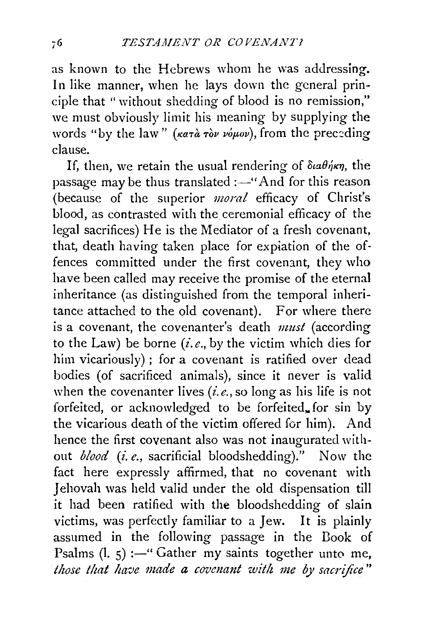as known to the Hebrews whom he was addressing. In like manner, when he lays down the general principle that " without shedding of blood is no remission," we must obviously limit his meaning by supplying the words "by the law" *(KaTa Tov voµov)*, from the preceding clause.

If, then, we retain the usual rendering of  $\delta u \theta \dot{\eta} \kappa \eta$ , the passage may be thus translated: $-$ " And for this reason (because of the superior *moral* efficacy of Christ's blood, as contrasted with the ceremonial efficacy of the legal sacrifices) He is the Mediator of a fresh covenant, that, death having taken place for expiation of the offences committed under the first covenant, they who have been called may receive the promise of the eternal inheritance (as distinguished from the temporal inheritance attached to the old covenant). For where there is a covenant, the covenanter's death *must* (according to the Law) be borne *(i.e.,* by the victim which dies for him vicariously) ; for a covenant is ratified over dead bodies (of sacrificed animals), since it never is valid when the covenanter lives *(i.e.,* so long as his life is not forfeited, or acknowledged to be forfeited for sin by the vicarious death of the victim offered for him). And hence the first covenant also was not inaugurated without *blood* (i. *e.,* sacrificial bloodshedding)." Now the fact here expressly affirmed, that no covenant with Jehovah was held valid under the old dispensation till it had been ratified with the bloodshedding of slain victims, was perfectly familiar to a Jew. It is plainly assumed in the following passage in the Book of Psalms  $(l, 5)$  :-" Gather my saints together unto me, *those that have made a covenant with me by sacrifice*"